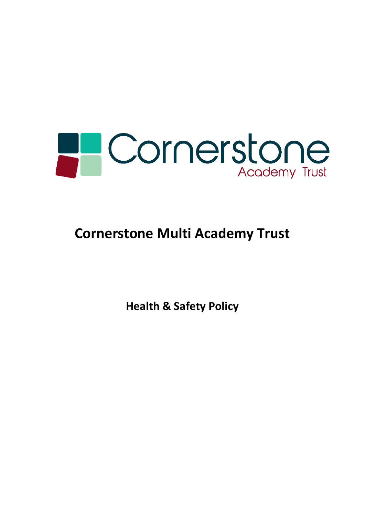

# **Cornerstone Multi Academy Trust**

**Health & Safety Policy**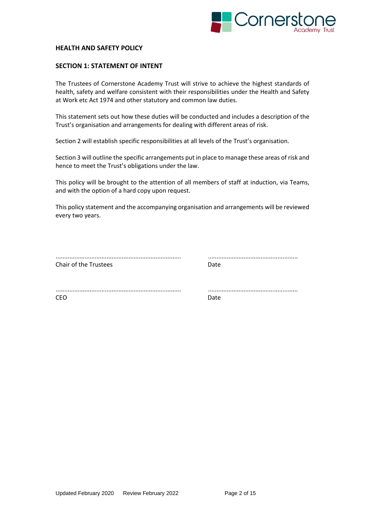

#### **HEALTH AND SAFETY POLICY**

#### **SECTION 1: STATEMENT OF INTENT**

The Trustees of Cornerstone Academy Trust will strive to achieve the highest standards of health, safety and welfare consistent with their responsibilities under the Health and Safety at Work etc Act 1974 and other statutory and common law duties.

This statement sets out how these duties will be conducted and includes a description of the Trust's organisation and arrangements for dealing with different areas of risk.

Section 2 will establish specific responsibilities at all levels of the Trust's organisation.

Section 3 will outline the specific arrangements put in place to manage these areas of risk and hence to meet the Trust's obligations under the law.

This policy will be brought to the attention of all members of staff at induction, via Teams, and with the option of a hard copy upon request.

This policy statement and the accompanying organisation and arrangements will be reviewed every two years.

| Chair of the Trustees |  |
|-----------------------|--|

.......................................................................... .....................................................

.......................................................................... ..................................................... CEO DATE DE LA CONSTRUCTION DE LA CONSTRUCTION DE LA CONSTRUCTION DE LA CONSTRUCTION DE LA CONSTRUCTION DE LA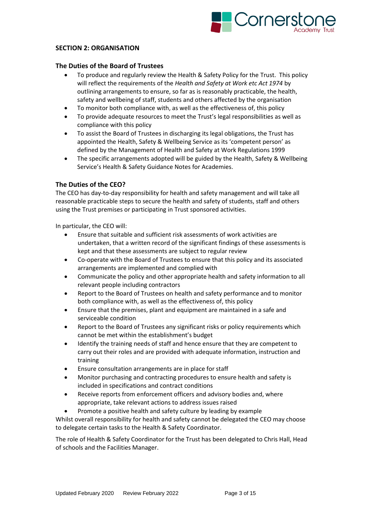

## **SECTION 2: ORGANISATION**

#### **The Duties of the Board of Trustees**

- To produce and regularly review the Health & Safety Policy for the Trust. This policy will reflect the requirements of the *Health and Safety at Work etc Act 1974* by outlining arrangements to ensure, so far as is reasonably practicable, the health, safety and wellbeing of staff, students and others affected by the organisation
- To monitor both compliance with, as well as the effectiveness of, this policy
- To provide adequate resources to meet the Trust's legal responsibilities as well as compliance with this policy
- To assist the Board of Trustees in discharging its legal obligations, the Trust has appointed the Health, Safety & Wellbeing Service as its 'competent person' as defined by the Management of Health and Safety at Work Regulations 1999
- The specific arrangements adopted will be guided by the Health, Safety & Wellbeing Service's Health & Safety Guidance Notes for Academies.

## **The Duties of the CEO?**

The CEO has day-to-day responsibility for health and safety management and will take all reasonable practicable steps to secure the health and safety of students, staff and others using the Trust premises or participating in Trust sponsored activities.

In particular, the CEO will:

- Ensure that suitable and sufficient risk assessments of work activities are undertaken, that a written record of the significant findings of these assessments is kept and that these assessments are subject to regular review
- Co-operate with the Board of Trustees to ensure that this policy and its associated arrangements are implemented and complied with
- Communicate the policy and other appropriate health and safety information to all relevant people including contractors
- Report to the Board of Trustees on health and safety performance and to monitor both compliance with, as well as the effectiveness of, this policy
- Ensure that the premises, plant and equipment are maintained in a safe and serviceable condition
- Report to the Board of Trustees any significant risks or policy requirements which cannot be met within the establishment's budget
- Identify the training needs of staff and hence ensure that they are competent to carry out their roles and are provided with adequate information, instruction and training
- Ensure consultation arrangements are in place for staff
- Monitor purchasing and contracting procedures to ensure health and safety is included in specifications and contract conditions
- Receive reports from enforcement officers and advisory bodies and, where appropriate, take relevant actions to address issues raised
- Promote a positive health and safety culture by leading by example

Whilst overall responsibility for health and safety cannot be delegated the CEO may choose to delegate certain tasks to the Health & Safety Coordinator.

The role of Health & Safety Coordinator for the Trust has been delegated to Chris Hall, Head of schools and the Facilities Manager.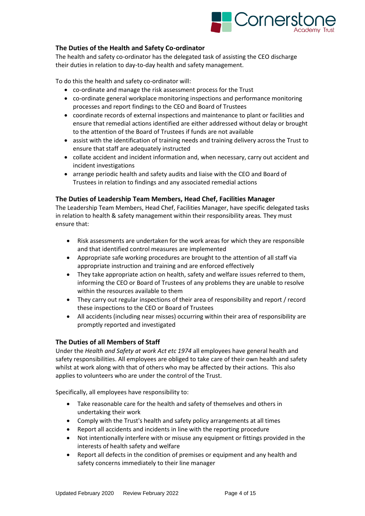

# **The Duties of the Health and Safety Co-ordinator**

The health and safety co-ordinator has the delegated task of assisting the CEO discharge their duties in relation to day-to-day health and safety management.

To do this the health and safety co-ordinator will:

- co-ordinate and manage the risk assessment process for the Trust
- co-ordinate general workplace monitoring inspections and performance monitoring processes and report findings to the CEO and Board of Trustees
- coordinate records of external inspections and maintenance to plant or facilities and ensure that remedial actions identified are either addressed without delay or brought to the attention of the Board of Trustees if funds are not available
- assist with the identification of training needs and training delivery across the Trust to ensure that staff are adequately instructed
- collate accident and incident information and, when necessary, carry out accident and incident investigations
- arrange periodic health and safety audits and liaise with the CEO and Board of Trustees in relation to findings and any associated remedial actions

## **The Duties of Leadership Team Members, Head Chef, Facilities Manager**

The Leadership Team Members, Head Chef, Facilities Manager, have specific delegated tasks in relation to health & safety management within their responsibility areas*.* They must ensure that:

- Risk assessments are undertaken for the work areas for which they are responsible and that identified control measures are implemented
- Appropriate safe working procedures are brought to the attention of all staff via appropriate instruction and training and are enforced effectively
- They take appropriate action on health, safety and welfare issues referred to them, informing the CEO or Board of Trustees of any problems they are unable to resolve within the resources available to them
- They carry out regular inspections of their area of responsibility and report / record these inspections to the CEO or Board of Trustees
- All accidents (including near misses) occurring within their area of responsibility are promptly reported and investigated

#### **The Duties of all Members of Staff**

Under the *Health and Safety at work Act etc 1974* all employees have general health and safety responsibilities. All employees are obliged to take care of their own health and safety whilst at work along with that of others who may be affected by their actions. This also applies to volunteers who are under the control of the Trust.

Specifically, all employees have responsibility to:

- Take reasonable care for the health and safety of themselves and others in undertaking their work
- Comply with the Trust's health and safety policy arrangements at all times
- Report all accidents and incidents in line with the reporting procedure
- Not intentionally interfere with or misuse any equipment or fittings provided in the interests of health safety and welfare
- Report all defects in the condition of premises or equipment and any health and safety concerns immediately to their line manager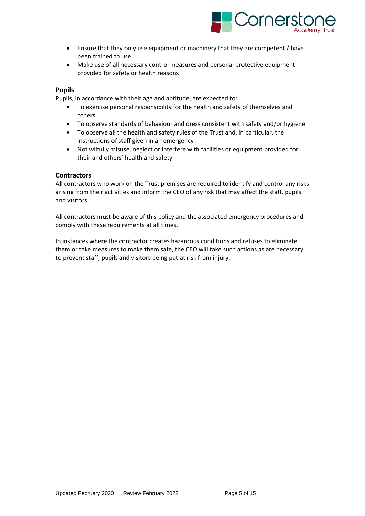

- Ensure that they only use equipment or machinery that they are competent / have been trained to use
- Make use of all necessary control measures and personal protective equipment provided for safety or health reasons

## **Pupils**

Pupils, in accordance with their age and aptitude, are expected to:

- To exercise personal responsibility for the health and safety of themselves and others
- To observe standards of behaviour and dress consistent with safety and/or hygiene
- To observe all the health and safety rules of the Trust and, in particular, the instructions of staff given in an emergency
- Not wilfully misuse, neglect or interfere with facilities or equipment provided for their and others' health and safety

## **Contractors**

All contractors who work on the Trust premises are required to identify and control any risks arising from their activities and inform the CEO of any risk that may affect the staff, pupils and visitors.

All contractors must be aware of this policy and the associated emergency procedures and comply with these requirements at all times.

In instances where the contractor creates hazardous conditions and refuses to eliminate them or take measures to make them safe, the CEO will take such actions as are necessary to prevent staff, pupils and visitors being put at risk from injury.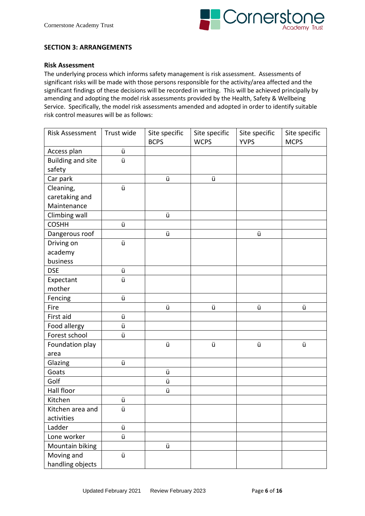

## **SECTION 3: ARRANGEMENTS**

#### **Risk Assessment**

The underlying process which informs safety management is risk assessment. Assessments of significant risks will be made with those persons responsible for the activity/area affected and the significant findings of these decisions will be recorded in writing. This will be achieved principally by amending and adopting the model risk assessments provided by the Health, Safety & Wellbeing Service. Specifically, the model risk assessments amended and adopted in order to identify suitable risk control measures will be as follows:

| <b>Risk Assessment</b>                                                                                       | Trust wide       | Site specific<br><b>BCPS</b> | Site specific<br><b>WCPS</b> | Site specific<br><b>YVPS</b> | Site specific<br><b>MCPS</b> |
|--------------------------------------------------------------------------------------------------------------|------------------|------------------------------|------------------------------|------------------------------|------------------------------|
| Access plan                                                                                                  | ü                |                              |                              |                              |                              |
| <b>Building and site</b>                                                                                     | ü                |                              |                              |                              |                              |
| safety                                                                                                       |                  |                              |                              |                              |                              |
| Car park                                                                                                     |                  | ü                            | ü                            |                              |                              |
| Cleaning,                                                                                                    | ü                |                              |                              |                              |                              |
| caretaking and                                                                                               |                  |                              |                              |                              |                              |
| Maintenance                                                                                                  |                  |                              |                              |                              |                              |
| Climbing wall                                                                                                |                  | ü                            |                              |                              |                              |
| <b>COSHH</b>                                                                                                 | ü                |                              |                              |                              |                              |
| Dangerous roof                                                                                               |                  | ü                            |                              | ü                            |                              |
| Driving on                                                                                                   | ü                |                              |                              |                              |                              |
| academy                                                                                                      |                  |                              |                              |                              |                              |
| business                                                                                                     |                  |                              |                              |                              |                              |
| <b>DSE</b>                                                                                                   | ü                |                              |                              |                              |                              |
| Expectant                                                                                                    | ü                |                              |                              |                              |                              |
| mother                                                                                                       |                  |                              |                              |                              |                              |
| Fencing                                                                                                      | ü                |                              |                              |                              |                              |
| Fire                                                                                                         |                  | ü                            | ü                            | ü                            | ü                            |
| First aid                                                                                                    | ü                |                              |                              |                              |                              |
| Food allergy                                                                                                 | ü                |                              |                              |                              |                              |
| Forest school                                                                                                | ü                |                              |                              |                              |                              |
| Foundation play                                                                                              |                  | ü                            | ü                            | ü                            | ü                            |
| area                                                                                                         |                  |                              |                              |                              |                              |
| Glazing                                                                                                      | ü                |                              |                              |                              |                              |
| Goats                                                                                                        |                  | ü                            |                              |                              |                              |
| Golf                                                                                                         |                  | ü                            |                              |                              |                              |
| Hall floor                                                                                                   |                  | ü                            |                              |                              |                              |
| Kitchen                                                                                                      | ü                |                              |                              |                              |                              |
|                                                                                                              |                  |                              |                              |                              |                              |
|                                                                                                              |                  |                              |                              |                              |                              |
|                                                                                                              |                  |                              |                              |                              |                              |
|                                                                                                              |                  |                              |                              |                              |                              |
|                                                                                                              |                  |                              |                              |                              |                              |
|                                                                                                              |                  |                              |                              |                              |                              |
| Kitchen area and<br>activities<br>Ladder<br>Lone worker<br>Mountain biking<br>Moving and<br>handling objects | ü<br>ü<br>ü<br>ü | ü                            |                              |                              |                              |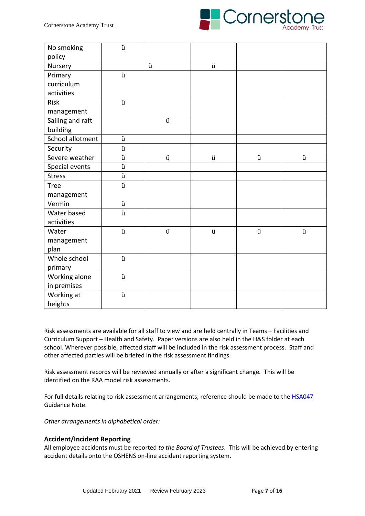

| No smoking       | ü |   |   |   |   |
|------------------|---|---|---|---|---|
| policy           |   |   |   |   |   |
| Nursery          |   | ü | ü |   |   |
| Primary          | ü |   |   |   |   |
| curriculum       |   |   |   |   |   |
| activities       |   |   |   |   |   |
| Risk             | ü |   |   |   |   |
| management       |   |   |   |   |   |
| Sailing and raft |   | ü |   |   |   |
| building         |   |   |   |   |   |
| School allotment | ü |   |   |   |   |
| Security         | ü |   |   |   |   |
| Severe weather   | ü | ü | ü | ü | ü |
| Special events   | ü |   |   |   |   |
| <b>Stress</b>    | ü |   |   |   |   |
| <b>Tree</b>      | ü |   |   |   |   |
| management       |   |   |   |   |   |
| Vermin           | ü |   |   |   |   |
| Water based      | ü |   |   |   |   |
| activities       |   |   |   |   |   |
| Water            | ü | ü | ü | ü | ü |
| management       |   |   |   |   |   |
| plan             |   |   |   |   |   |
| Whole school     | ü |   |   |   |   |
| primary          |   |   |   |   |   |
| Working alone    | ü |   |   |   |   |
| in premises      |   |   |   |   |   |
| Working at       | ü |   |   |   |   |
| heights          |   |   |   |   |   |

Risk assessments are available for all staff to view and are held centrally in Teams – Facilities and Curriculum Support – Health and Safety. Paper versions are also held in the H&S folder at each school. Wherever possible, affected staff will be included in the risk assessment process. Staff and other affected parties will be briefed in the risk assessment findings.

Risk assessment records will be reviewed annually or after a significant change*.* This will be identified on the RAA model risk assessments.

For full details relating to risk assessment arrangements, reference should be made to the **HSA047** Guidance Note.

*Other arrangements in alphabetical order:*

# **Accident/Incident Reporting**

All employee accidents must be reported *to the Board of Trustees*. This will be achieved by entering accident details onto the OSHENS on-line accident reporting system.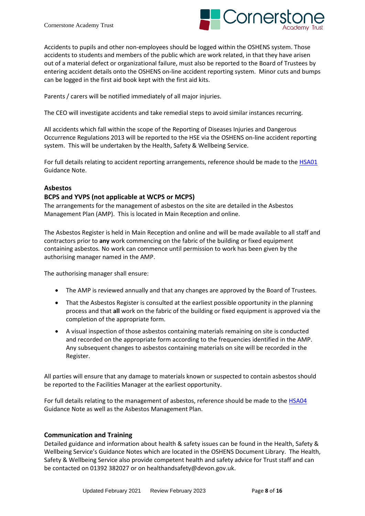

Accidents to pupils and other non-employees should be logged within the OSHENS system. Those accidents to students and members of the public which are work related, in that they have arisen out of a material defect or organizational failure, must also be reported to the Board of Trustees by entering accident details onto the OSHENS on-line accident reporting system. Minor cuts and bumps can be logged in the first aid book kept with the first aid kits.

Parents / carers will be notified immediately of all major injuries.

The CEO will investigate accidents and take remedial steps to avoid similar instances recurring.

All accidents which fall within the scope of the Reporting of Diseases Injuries and Dangerous Occurrence Regulations 2013 will be reported to the HSE via the OSHENS on-line accident reporting system. This will be undertaken by the Health, Safety & Wellbeing Service.

For full details relating to accident reporting arrangements, reference should be made to the [HSA01](https://broadclyst.sharepoint.com/sites/TCAT-Facilities_Team/Shared%20Documents/Health%20and%20Safety/Health%20and%20Safety%20Policies/HSAs/HSA01.pdf) Guidance Note.

## **Asbestos**

# **BCPS and YVPS (not applicable at WCPS or MCPS)**

The arrangements for the management of asbestos on the site are detailed in the Asbestos Management Plan (AMP). This is located in Main Reception and online.

The Asbestos Register is held in Main Reception and online and will be made available to all staff and contractors prior to **any** work commencing on the fabric of the building or fixed equipment containing asbestos*.* No work can commence until permission to work has been given by the authorising manager named in the AMP.

The authorising manager shall ensure:

- The AMP is reviewed annually and that any changes are approved by the Board of Trustees.
- That the Asbestos Register is consulted at the earliest possible opportunity in the planning process and that **all** work on the fabric of the building or fixed equipment is approved via the completion of the appropriate form.
- A visual inspection of those asbestos containing materials remaining on site is conducted and recorded on the appropriate form according to the frequencies identified in the AMP. Any subsequent changes to asbestos containing materials on site will be recorded in the Register.

All parties will ensure that any damage to materials known or suspected to contain asbestos should be reported to the Facilities Manager at the earliest opportunity.

For full details relating to the management of asbestos, reference should be made to the [HSA04](https://broadclyst.sharepoint.com/sites/TCAT-Facilities_Team/Shared%20Documents/Health%20and%20Safety/Health%20and%20Safety%20Policies/HSAs/HSA04%20Asbestos.pdf) Guidance Note as well as the Asbestos Management Plan.

# **Communication and Training**

Detailed guidance and information about health & safety issues can be found in the Health, Safety & Wellbeing Service's Guidance Notes which are located in the OSHENS Document Library. The Health, Safety & Wellbeing Service also provide competent health and safety advice for Trust staff and can be contacted on 01392 382027 or on healthandsafety@devon.gov.uk.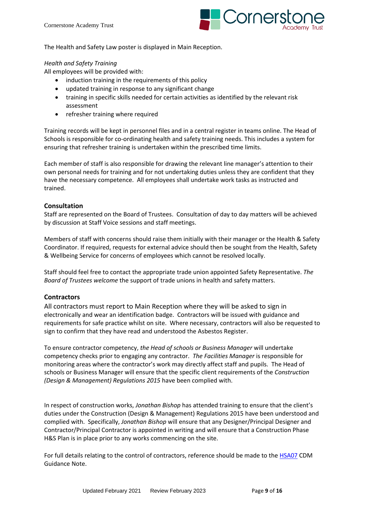

The Health and Safety Law poster is displayed in Main Reception.

## *Health and Safety Training*

All employees will be provided with:

- induction training in the requirements of this policy
- updated training in response to any significant change
- training in specific skills needed for certain activities as identified by the relevant risk assessment
- refresher training where required

Training records will be kept in personnel files and in a central register in teams online. The Head of Schools is responsible for co-ordinating health and safety training needs. This includes a system for ensuring that refresher training is undertaken within the prescribed time limits.

Each member of staff is also responsible for drawing the relevant line manager's attention to their own personal needs for training and for not undertaking duties unless they are confident that they have the necessary competence. All employees shall undertake work tasks as instructed and trained.

# **Consultation**

Staff are represented on the Board of Trustees. Consultation of day to day matters will be achieved by discussion at Staff Voice sessions and staff meetings.

Members of staff with concerns should raise them initially with their manager or the Health & Safety Coordinator. If required, requests for external advice should then be sought from the Health, Safety & Wellbeing Service for concerns of employees which cannot be resolved locally.

Staff should feel free to contact the appropriate trade union appointed Safety Representative. *The Board of Trustees welcome* the support of trade unions in health and safety matters.

# **Contractors**

All contractors must report to Main Reception where they will be asked to sign in electronically and wear an identification badge. Contractors will be issued with guidance and requirements for safe practice whilst on site. Where necessary, contractors will also be requested to sign to confirm that they have read and understood the Asbestos Register.

To ensure contractor competency, *the Head of schools or Business Manager* will undertake competency checks prior to engaging any contractor. *The Facilities Manager* is responsible for monitoring areas where the contractor's work may directly affect staff and pupils. The Head of schools or Business Manager will ensure that the specific client requirements of the *Construction (Design & Management) Regulations 2015* have been complied with.

In respect of construction works, *Jonathan Bishop* has attended training to ensure that the client's duties under the Construction (Design & Management) Regulations 2015 have been understood and complied with. Specifically, *Jonathan Bishop* will ensure that any Designer/Principal Designer and Contractor/Principal Contractor is appointed in writing and will ensure that a Construction Phase H&S Plan is in place prior to any works commencing on the site.

For full details relating to the control of contractors, reference should be made to the [HSA07](https://broadclyst.sharepoint.com/sites/TCAT-Facilities_Team/Shared%20Documents/Health%20and%20Safety/Health%20and%20Safety%20Policies/HSAs/HSA07%20CDM.pdf) CDM Guidance Note.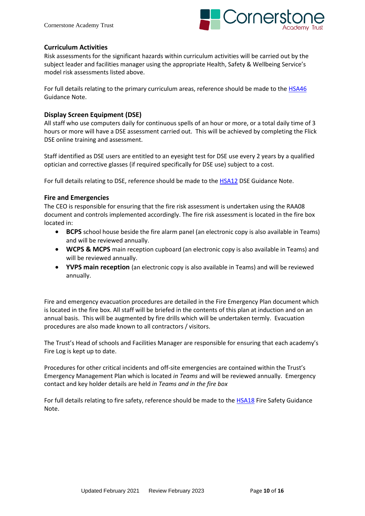

## **Curriculum Activities**

Risk assessments for the significant hazards within curriculum activities will be carried out by the subject leader and facilities manager using the appropriate Health, Safety & Wellbeing Service's model risk assessments listed above.

For full details relating to the primary curriculum areas, reference should be made to the [HSA46](https://broadclyst.sharepoint.com/sites/TCAT-Facilities_Team/Shared%20Documents/Health%20and%20Safety/Health%20and%20Safety%20Policies/HSAs/HSA46%20Primary%20Level%20Cirriculum%20Activies.pdf) Guidance Note.

## **Display Screen Equipment (DSE)**

All staff who use computers daily for continuous spells of an hour or more, or a total daily time of 3 hours or more will have a DSE assessment carried out. This will be achieved by completing the Flick DSE online training and assessment.

Staff identified as DSE users are entitled to an eyesight test for DSE use every 2 years by a qualified optician and corrective glasses (if required specifically for DSE use) subject to a cost.

For full details relating to DSE, reference should be made to the [HSA12](https://broadclyst.sharepoint.com/sites/TCAT-Facilities_Team/Shared%20Documents/Health%20and%20Safety/Health%20and%20Safety%20Policies/HSAs/HSA12%20Display%20Screen%20Equipment.pdf) DSE Guidance Note.

## **Fire and Emergencies**

The CEO is responsible for ensuring that the fire risk assessment is undertaken using the RAA08 document and controls implemented accordingly. The fire risk assessment is located in the fire box located in:

- **BCPS** school house beside the fire alarm panel (an electronic copy is also available in Teams) and will be reviewed annually.
- **WCPS & MCPS** main reception cupboard (an electronic copy is also available in Teams) and will be reviewed annually.
- **YVPS main reception** (an electronic copy is also available in Teams) and will be reviewed annually.

Fire and emergency evacuation procedures are detailed in the Fire Emergency Plan document which is located in the fire box. All staff will be briefed in the contents of this plan at induction and on an annual basis. This will be augmented by fire drills which will be undertaken termly. Evacuation procedures are also made known to all contractors / visitors.

The Trust's Head of schools and Facilities Manager are responsible for ensuring that each academy's Fire Log is kept up to date.

Procedures for other critical incidents and off-site emergencies are contained within the Trust's Emergency Management Plan which is located *in Teams* and will be reviewed annually. Emergency contact and key holder details are held *in Teams and in the fire box*

For full details relating to fire safety, reference should be made to the **HSA18** Fire Safety Guidance Note.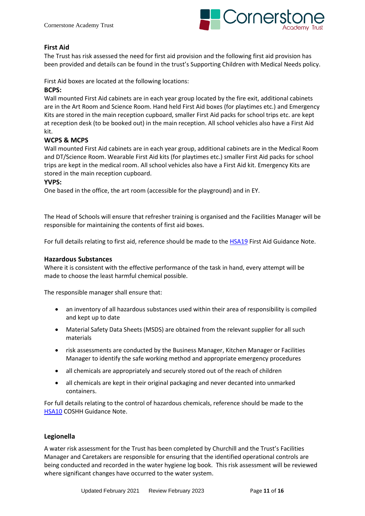

# **First Aid**

The Trust has risk assessed the need for first aid provision and the following first aid provision has been provided and details can be found in the trust's Supporting Children with Medical Needs policy.

First Aid boxes are located at the following locations:

## **BCPS:**

Wall mounted First Aid cabinets are in each year group located by the fire exit, additional cabinets are in the Art Room and Science Room. Hand held First Aid boxes (for playtimes etc.) and Emergency Kits are stored in the main reception cupboard, smaller First Aid packs for school trips etc. are kept at reception desk (to be booked out) in the main reception. All school vehicles also have a First Aid kit.

## **WCPS & MCPS**

Wall mounted First Aid cabinets are in each year group, additional cabinets are in the Medical Room and DT/Science Room. Wearable First Aid kits (for playtimes etc.) smaller First Aid packs for school trips are kept in the medical room. All school vehicles also have a First Aid kit. Emergency Kits are stored in the main reception cupboard.

## **YVPS:**

One based in the office, the art room (accessible for the playground) and in EY.

The Head of Schools will ensure that refresher training is organised and the Facilities Manager will be responsible for maintaining the contents of first aid boxes.

For full details relating to first aid, reference should be made to the [HSA19](https://broadclyst.sharepoint.com/sites/TCAT-Facilities_Team/Shared%20Documents/Health%20and%20Safety/Health%20and%20Safety%20Policies/HSAs/HSA19%20First%20Aid.pdf) First Aid Guidance Note.

## **Hazardous Substances**

Where it is consistent with the effective performance of the task in hand, every attempt will be made to choose the least harmful chemical possible.

The responsible manager shall ensure that:

- an inventory of all hazardous substances used within their area of responsibility is compiled and kept up to date
- Material Safety Data Sheets (MSDS) are obtained from the relevant supplier for all such materials
- risk assessments are conducted by the Business Manager, Kitchen Manager or Facilities Manager to identify the safe working method and appropriate emergency procedures
- all chemicals are appropriately and securely stored out of the reach of children
- all chemicals are kept in their original packaging and never decanted into unmarked containers.

For full details relating to the control of hazardous chemicals, reference should be made to the [HSA10](https://broadclyst.sharepoint.com/sites/TCAT-Facilities_Team/Shared%20Documents/Health%20and%20Safety/Health%20and%20Safety%20Policies/HSAs/HSA10%20COSHH.pdf) COSHH Guidance Note.

# **Legionella**

A water risk assessment for the Trust has been completed by Churchill and the Trust's Facilities Manager and Caretakers are responsible for ensuring that the identified operational controls are being conducted and recorded in the water hygiene log book. This risk assessment will be reviewed where significant changes have occurred to the water system.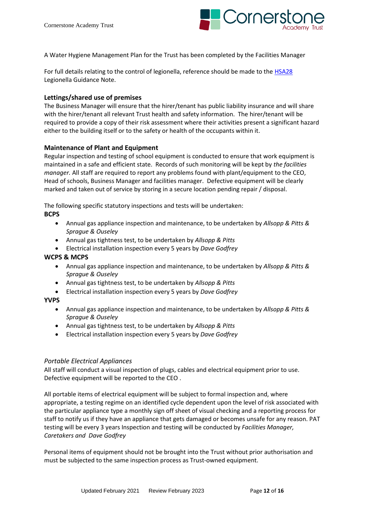

A Water Hygiene Management Plan for the Trust has been completed by the Facilities Manager

For full details relating to the control of legionella, reference should be made to the [HSA28](https://broadclyst.sharepoint.com/sites/TCAT-Facilities_Team/Shared%20Documents/Health%20and%20Safety/Health%20and%20Safety%20Policies/HSAs/HSA28%20Legionella.pdf) Legionella Guidance Note.

## **Lettings/shared use of premises**

The Business Manager will ensure that the hirer/tenant has public liability insurance and will share with the hirer/tenant all relevant Trust health and safety information. The hirer/tenant will be required to provide a copy of their risk assessment where their activities present a significant hazard either to the building itself or to the safety or health of the occupants within it.

## **Maintenance of Plant and Equipment**

Regular inspection and testing of school equipment is conducted to ensure that work equipment is maintained in a safe and efficient state. Records of such monitoring will be kept by *the facilities manager.* All staff are required to report any problems found with plant/equipment to the CEO, Head of schools, Business Manager and facilities manager. Defective equipment will be clearly marked and taken out of service by storing in a secure location pending repair / disposal.

The following specific statutory inspections and tests will be undertaken:

## **BCPS**

- Annual gas appliance inspection and maintenance, to be undertaken by *Allsopp & Pitts & Sprague & Ouseley*
- Annual gas tightness test, to be undertaken by *Allsopp & Pitts*
- Electrical installation inspection every 5 years by *Dave Godfrey*

## **WCPS & MCPS**

- Annual gas appliance inspection and maintenance, to be undertaken by *Allsopp & Pitts & Sprague & Ouseley*
- Annual gas tightness test, to be undertaken by *Allsopp & Pitts*
- Electrical installation inspection every 5 years by *Dave Godfrey*

#### **YVPS**

- Annual gas appliance inspection and maintenance, to be undertaken by *Allsopp & Pitts & Sprague & Ouseley*
- Annual gas tightness test, to be undertaken by *Allsopp & Pitts*
- Electrical installation inspection every 5 years by *Dave Godfrey*

#### *Portable Electrical Appliances*

All staff will conduct a visual inspection of plugs, cables and electrical equipment prior to use. Defective equipment will be reported to the CEO .

All portable items of electrical equipment will be subject to formal inspection and, where appropriate, a testing regime on an identified cycle dependent upon the level of risk associated with the particular appliance type a monthly sign off sheet of visual checking and a reporting process for staff to notify us if they have an appliance that gets damaged or becomes unsafe for any reason. PAT testing will be every 3 years Inspection and testing will be conducted by *Facilities Manager, Caretakers and Dave Godfrey*

Personal items of equipment should not be brought into the Trust without prior authorisation and must be subjected to the same inspection process as Trust-owned equipment.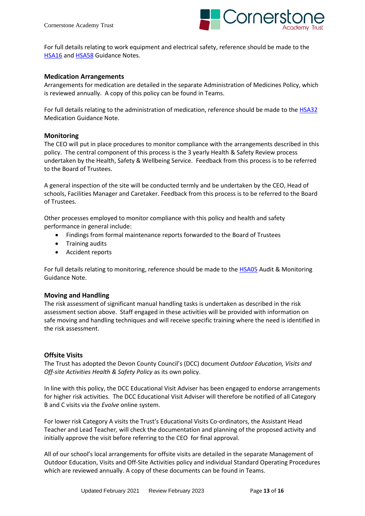

For full details relating to work equipment and electrical safety, reference should be made to the [HSA16](https://broadclyst.sharepoint.com/sites/TCAT-Facilities_Team/Shared%20Documents/Health%20and%20Safety/Health%20and%20Safety%20Policies/HSAs/HSA16%20Electrical%20Safety.pdf) and [HSA58](https://broadclyst.sharepoint.com/sites/TCAT-Facilities_Team/Shared%20Documents/Health%20and%20Safety/Health%20and%20Safety%20Policies/HSAs/HSA58%20Work%20Equipment.pdf) Guidance Notes.

#### **Medication Arrangements**

Arrangements for medication are detailed in the separate Administration of Medicines Policy, which is reviewed annually. A copy of this policy can be found in Teams.

For full details relating to the administration of medication, reference should be made to th[e HSA32](https://broadclyst.sharepoint.com/sites/TCAT-Facilities_Team/Shared%20Documents/Health%20and%20Safety/Health%20and%20Safety%20Policies/HSAs/HSA32%20Medication%20Arrangements.pdf) Medication Guidance Note.

#### **Monitoring**

The CEO will put in place procedures to monitor compliance with the arrangements described in this policy. The central component of this process is the 3 yearly Health & Safety Review process undertaken by the Health, Safety & Wellbeing Service. Feedback from this process is to be referred to the Board of Trustees.

A general inspection of the site will be conducted termly and be undertaken by the CEO, Head of schools, Facilities Manager and Caretaker. Feedback from this process is to be referred to the Board of Trustees.

Other processes employed to monitor compliance with this policy and health and safety performance in general include:

- Findings from formal maintenance reports forwarded to the Board of Trustees
- Training audits
- Accident reports

For full details relating to monitoring, reference should be made to the [HSA05](https://broadclyst.sharepoint.com/sites/TCAT-Facilities_Team/Shared%20Documents/Health%20and%20Safety/Health%20and%20Safety%20Policies/HSAs/HSA05%20Auditing%20and%20Monitoring.pdf) Audit & Monitoring Guidance Note.

#### **Moving and Handling**

The risk assessment of significant manual handling tasks is undertaken as described in the risk assessment section above. Staff engaged in these activities will be provided with information on safe moving and handling techniques and will receive specific training where the need is identified in the risk assessment.

#### **Offsite Visits**

The Trust has adopted the Devon County Council's (DCC) document *Outdoor Education, Visits and Off-site Activities Health & Safety Policy* as its own policy.

In line with this policy, the DCC Educational Visit Adviser has been engaged to endorse arrangements for higher risk activities. The DCC Educational Visit Adviser will therefore be notified of all Category B and C visits via the *Evolve* online system.

For lower risk Category A visits the Trust's Educational Visits Co-ordinators, the Assistant Head Teacher and Lead Teacher*,* will check the documentation and planning of the proposed activity and initially approve the visit before referring to the CEO for final approval.

All of our school's local arrangements for offsite visits are detailed in the separate Management of Outdoor Education, Visits and Off-Site Activities policy and individual Standard Operating Procedures which are reviewed annually. A copy of these documents can be found in Teams.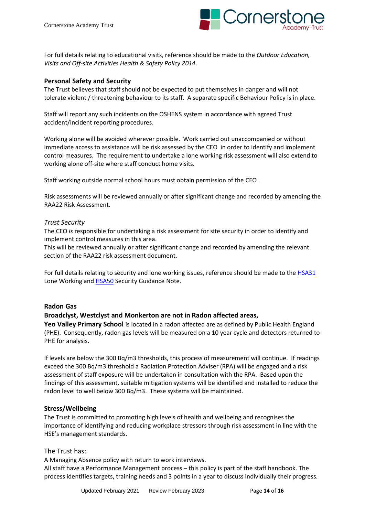

For full details relating to educational visits, reference should be made to the *Outdoor Education, Visits and Off-site Activities Health & Safety Policy 2014*.

## **Personal Safety and Security**

The Trust believes that staff should not be expected to put themselves in danger and will not tolerate violent / threatening behaviour to its staff. A separate specific Behaviour Policy is in place.

Staff will report any such incidents on the OSHENS system in accordance with agreed Trust accident/incident reporting procedures.

Working alone will be avoided wherever possible. Work carried out unaccompanied or without immediate access to assistance will be risk assessed by the CEO in order to identify and implement control measures. The requirement to undertake a lone working risk assessment will also extend to working alone off-site where staff conduct home visits.

Staff working outside normal school hours must obtain permission of the CEO .

Risk assessments will be reviewed annually or after significant change and recorded by amending the RAA22 Risk Assessment.

#### *Trust Security*

The CEO *is* responsible for undertaking a risk assessment for site security in order to identify and implement control measures in this area.

This will be reviewed annually or after significant change and recorded by amending the relevant section of the RAA22 risk assessment document.

For full details relating to security and lone working issues, reference should be made to the [HSA31](https://broadclyst.sharepoint.com/sites/TCAT-Facilities_Team/Shared%20Documents/Health%20and%20Safety/Health%20and%20Safety%20Policies/HSAs/HSA31%20Loneworking.pdf) Lone Working and [HSA50](https://broadclyst.sharepoint.com/sites/TCAT-Facilities_Team/Shared%20Documents/Health%20and%20Safety/Health%20and%20Safety%20Policies/HSAs/HSA50%20Security.pdf) Security Guidance Note.

#### **Radon Gas**

#### **Broadclyst, Westclyst and Monkerton are not in Radon affected areas,**

**Yeo Valley Primary School** is located in a radon affected are as defined by Public Health England (PHE). Consequently, radon gas levels will be measured on a 10 year cycle and detectors returned to PHE for analysis.

If levels are below the 300 Bq/m3 thresholds, this process of measurement will continue. If readings exceed the 300 Bq/m3 threshold a Radiation Protection Adviser (RPA) will be engaged and a risk assessment of staff exposure will be undertaken in consultation with the RPA. Based upon the findings of this assessment, suitable mitigation systems will be identified and installed to reduce the radon level to well below 300 Bq/m3. These systems will be maintained.

#### **Stress/Wellbeing**

The Trust is committed to promoting high levels of health and wellbeing and recognises the importance of identifying and reducing workplace stressors through risk assessment in line with the HSE's management standards.

#### The Trust has:

A Managing Absence policy with return to work interviews.

All staff have a Performance Management process – this policy is part of the staff handbook. The process identifies targets, training needs and 3 points in a year to discuss individually their progress.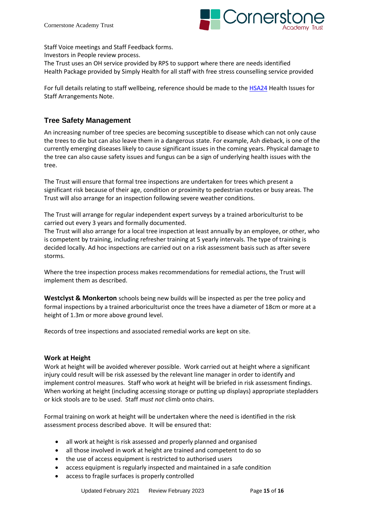

Staff Voice meetings and Staff Feedback forms.

Investors in People review process.

The Trust uses an OH service provided by RPS to support where there are needs identified Health Package provided by Simply Health for all staff with free stress counselling service provided

For full details relating to staff wellbeing, reference should be made to th[e HSA24](https://broadclyst.sharepoint.com/sites/TCAT-Facilities_Team/Shared%20Documents/Health%20and%20Safety/Health%20and%20Safety%20Policies/HSAs/HSA24%20Health%20Issues%20for%20Staff.pdf) Health Issues for Staff Arrangements Note.

# **Tree Safety Management**

An increasing number of tree species are becoming susceptible to disease which can not only cause the trees to die but can also leave them in a dangerous state. For example, Ash dieback, is one of the currently emerging diseases likely to cause significant issues in the coming years. Physical damage to the tree can also cause safety issues and fungus can be a sign of underlying health issues with the tree.

The Trust will ensure that formal tree inspections are undertaken for trees which present a significant risk because of their age, condition or proximity to pedestrian routes or busy areas. The Trust will also arrange for an inspection following severe weather conditions.

The Trust will arrange for regular independent expert surveys by a trained arboriculturist to be carried out every 3 years and formally documented.

The Trust will also arrange for a local tree inspection at least annually by an employee, or other, who is competent by training, including refresher training at 5 yearly intervals. The type of training is decided locally. Ad hoc inspections are carried out on a risk assessment basis such as after severe storms.

Where the tree inspection process makes recommendations for remedial actions, the Trust will implement them as described.

**Westclyst & Monkerton** schools being new builds will be inspected as per the tree policy and formal inspections by a trained arboriculturist once the trees have a diameter of 18cm or more at a height of 1.3m or more above ground level.

Records of tree inspections and associated remedial works are kept on site.

# **Work at Height**

Work at height will be avoided wherever possible. Work carried out at height where a significant injury could result will be risk assessed by the relevant line manager in order to identify and implement control measures. Staff who work at height will be briefed in risk assessment findings. When working at height (including accessing storage or putting up displays) appropriate stepladders or kick stools are to be used. Staff *must not* climb onto chairs.

Formal training on work at height will be undertaken where the need is identified in the risk assessment process described above. It will be ensured that:

- all work at height is risk assessed and properly planned and organised
- all those involved in work at height are trained and competent to do so
- the use of access equipment is restricted to authorised users
- access equipment is regularly inspected and maintained in a safe condition
- access to fragile surfaces is properly controlled